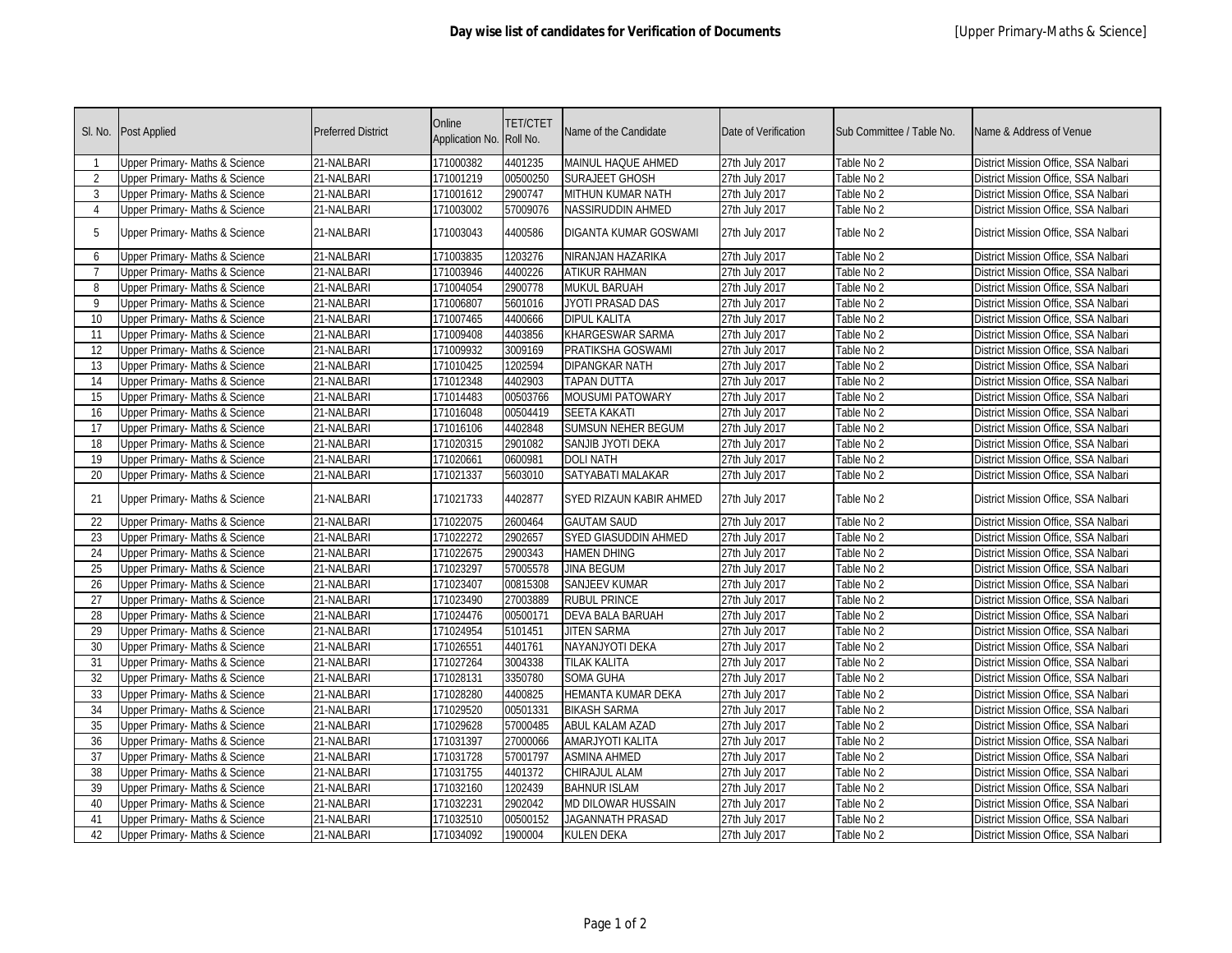| SI. No.        | Post Applied                              | <b>Preferred District</b> | Online<br>Application No. Roll No. | <b>TET/CTET</b> | Name of the Candidate       | Date of Verification | Sub Committee / Table No. | Name & Address of Venue              |
|----------------|-------------------------------------------|---------------------------|------------------------------------|-----------------|-----------------------------|----------------------|---------------------------|--------------------------------------|
| -1             | <b>Jpper Primary- Maths &amp; Science</b> | 21-NALBARI                | 171000382                          | 4401235         | <b>MAINUL HAQUE AHMED</b>   | 27th July 2017       | Table No 2                | District Mission Office, SSA Nalbari |
| 2              | Upper Primary- Maths & Science            | 21-NALBARI                | 171001219                          | 00500250        | <b>SURAJEET GHOSH</b>       | 27th July 2017       | Table No 2                | District Mission Office, SSA Nalbari |
| 3              | Upper Primary- Maths & Science            | 21-NALBARI                | 171001612                          | 2900747         | MITHUN KUMAR NATH           | 27th July 2017       | Table No 2                | District Mission Office, SSA Nalbari |
| $\overline{4}$ | Upper Primary- Maths & Science            | 21-NALBARI                | 171003002                          | 57009076        | <b>NASSIRUDDIN AHMED</b>    | 27th July 2017       | Table No 2                | District Mission Office, SSA Nalbari |
| 5              | Upper Primary- Maths & Science            | 21-NALBARI                | 171003043                          | 4400586         | DIGANTA KUMAR GOSWAMI       | 27th July 2017       | Table No 2                | District Mission Office, SSA Nalbari |
| $\sqrt{2}$     | Upper Primary- Maths & Science            | 21-NALBARI                | 171003835                          | 1203276         | NIRANJAN HAZARIKA           | 27th July 2017       | Table No 2                | District Mission Office, SSA Nalbari |
| 7              | Upper Primary- Maths & Science            | 21-NALBARI                | 171003946                          | 4400226         | <b>ATIKUR RAHMAN</b>        | 27th July 2017       | Table No 2                | District Mission Office, SSA Nalbari |
| 8              | Upper Primary- Maths & Science            | 21-NALBARI                | 171004054                          | 2900778         | <b>MUKUL BARUAH</b>         | 27th July 2017       | Table No 2                | District Mission Office, SSA Nalbari |
| 9              | <b>Upper Primary-Maths &amp; Science</b>  | 21-NALBARI                | 171006807                          | 5601016         | JYOTI PRASAD DAS            | 27th July 2017       | Table No 2                | District Mission Office, SSA Nalbari |
| 10             | Upper Primary- Maths & Science            | 21-NALBARI                | 171007465                          | 4400666         | <b>DIPUL KALITA</b>         | 27th July 2017       | Table No 2                | District Mission Office, SSA Nalbari |
| 11             | Upper Primary- Maths & Science            | 21-NALBARI                | 171009408                          | 4403856         | KHARGESWAR SARMA            | 27th July 2017       | Table No 2                | District Mission Office, SSA Nalbari |
| 12             | Upper Primary- Maths & Science            | 21-NALBARI                | 171009932                          | 3009169         | PRATIKSHA GOSWAMI           | 27th July 2017       | Table No 2                | District Mission Office, SSA Nalbari |
| 13             | Upper Primary- Maths & Science            | 21-NALBARI                | 171010425                          | 1202594         | <b>DIPANGKAR NATH</b>       | 27th July 2017       | Table No 2                | District Mission Office, SSA Nalbari |
| 14             | Upper Primary- Maths & Science            | 21-NALBARI                | 171012348                          | 4402903         | <b>TAPAN DUTTA</b>          | 27th July 2017       | Table No 2                | District Mission Office, SSA Nalbari |
| 15             | Upper Primary- Maths & Science            | 21-NALBARI                | 171014483                          | 00503766        | <b>MOUSUMI PATOWARY</b>     | 27th July 2017       | Table No 2                | District Mission Office, SSA Nalbari |
| 16             | Upper Primary- Maths & Science            | 21-NALBARI                | 171016048                          | 00504419        | <b>SEETA KAKATI</b>         | 27th July 2017       | Table No 2                | District Mission Office, SSA Nalbari |
| 17             | Upper Primary- Maths & Science            | 21-NALBARI                | 171016106                          | 4402848         | <b>SUMSUN NEHER BEGUM</b>   | 27th July 2017       | Table No 2                | District Mission Office, SSA Nalbari |
| 18             | Upper Primary- Maths & Science            | 21-NALBARI                | 171020315                          | 2901082         | SANJIB JYOTI DEKA           | 27th July 2017       | Table No 2                | District Mission Office, SSA Nalbari |
| 19             | Upper Primary- Maths & Science            | 21-NALBARI                | 171020661                          | 0600981         | <b>DOLI NATH</b>            | 27th July 2017       | Table No 2                | District Mission Office, SSA Nalbari |
| 20             | Upper Primary- Maths & Science            | 21-NALBARI                | 171021337                          | 5603010         | SATYABATI MALAKAR           | 27th July 2017       | Table No 2                | District Mission Office, SSA Nalbari |
| 21             | Upper Primary- Maths & Science            | 21-NALBARI                | 171021733                          | 4402877         | SYED RIZAUN KABIR AHMED     | 27th July 2017       | Table No 2                | District Mission Office, SSA Nalbari |
| 22             | Upper Primary- Maths & Science            | 21-NALBARI                | 171022075                          | 2600464         | <b>GAUTAM SAUD</b>          | 27th July 2017       | Table No 2                | District Mission Office, SSA Nalbari |
| 23             | Upper Primary- Maths & Science            | 21-NALBARI                | 171022272                          | 2902657         | <b>SYED GIASUDDIN AHMED</b> | 27th July 2017       | Table No 2                | District Mission Office, SSA Nalbari |
| 24             | Upper Primary- Maths & Science            | 21-NALBARI                | 171022675                          | 2900343         | <b>HAMEN DHING</b>          | 27th July 2017       | Table No 2                | District Mission Office, SSA Nalbari |
| 25             | Upper Primary- Maths & Science            | 21-NALBARI                | 171023297                          | 57005578        | <b>JINA BEGUM</b>           | 27th July 2017       | Table No 2                | District Mission Office, SSA Nalbari |
| 26             | Upper Primary- Maths & Science            | 21-NALBARI                | 171023407                          | 00815308        | <b>SANJEEV KUMAR</b>        | 27th July 2017       | Table No 2                | District Mission Office, SSA Nalbari |
| 27             | Upper Primary- Maths & Science            | 21-NALBARI                | 171023490                          | 27003889        | <b>RUBUL PRINCE</b>         | 27th July 2017       | Table No 2                | District Mission Office, SSA Nalbari |
| 28             | <b>Upper Primary- Maths &amp; Science</b> | 21-NALBARI                | 171024476                          | 00500171        | <b>DEVA BALA BARUAH</b>     | 27th July 2017       | Table No 2                | District Mission Office, SSA Nalbari |
| 29             | Upper Primary- Maths & Science            | 21-NALBARI                | 171024954                          | 5101451         | <b>JITEN SARMA</b>          | 27th July 2017       | Table No 2                | District Mission Office, SSA Nalbari |
| 30             | <b>Upper Primary- Maths &amp; Science</b> | 21-NALBARI                | 171026551                          | 4401761         | NAYANJYOTI DEKA             | 27th July 2017       | Table No 2                | District Mission Office, SSA Nalbari |
| 31             | Upper Primary- Maths & Science            | 21-NALBARI                | 171027264                          | 3004338         | <b>TILAK KALITA</b>         | 27th July 2017       | Table No 2                | District Mission Office, SSA Nalbari |
| 32             | <b>Upper Primary- Maths &amp; Science</b> | 21-NALBARI                | 171028131                          | 3350780         | <b>SOMA GUHA</b>            | 27th July 2017       | Table No 2                | District Mission Office, SSA Nalbari |
| 33             | Upper Primary- Maths & Science            | 21-NALBARI                | 171028280                          | 4400825         | HEMANTA KUMAR DEKA          | 27th July 2017       | Table No 2                | District Mission Office, SSA Nalbari |
| 34             | Upper Primary- Maths & Science            | 21-NALBARI                | 171029520                          | 00501331        | <b>BIKASH SARMA</b>         | 27th July 2017       | Table No 2                | District Mission Office, SSA Nalbari |
| 35             | Upper Primary- Maths & Science            | 21-NALBARI                | 171029628                          | 57000485        | ABUL KALAM AZAD             | 27th July 2017       | Table No 2                | District Mission Office, SSA Nalbari |
| 36             | Upper Primary- Maths & Science            | 21-NALBARI                | 171031397                          | 27000066        | <b>AMARJYOTI KALITA</b>     | 27th July 2017       | Table No 2                | District Mission Office, SSA Nalbari |
| 37             | Upper Primary- Maths & Science            | 21-NALBARI                | 171031728                          | 57001797        | <b>ASMINA AHMED</b>         | 27th July 2017       | Table No 2                | District Mission Office, SSA Nalbari |
| 38             | Upper Primary- Maths & Science            | 21-NALBARI                | 171031755                          | 4401372         | CHIRAJUL ALAM               | 27th July 2017       | Table No 2                | District Mission Office, SSA Nalbari |
| 39             | Upper Primary- Maths & Science            | 21-NALBARI                | 171032160                          | 1202439         | <b>BAHNUR ISLAM</b>         | 27th July 2017       | Table No 2                | District Mission Office, SSA Nalbari |
| 40             | Upper Primary- Maths & Science            | 21-NALBARI                | 171032231                          | 2902042         | <b>MD DILOWAR HUSSAIN</b>   | 27th July 2017       | Table No 2                | District Mission Office, SSA Nalbari |
| 41             | Upper Primary- Maths & Science            | 21-NALBARI                | 171032510                          | 00500152        | JAGANNATH PRASAD            | 27th July 2017       | Table No 2                | District Mission Office, SSA Nalbari |
| 42             | Upper Primary- Maths & Science            | 21-NALBARI                | 171034092                          | 1900004         | <b>KULEN DEKA</b>           | 27th July 2017       | Table No 2                | District Mission Office, SSA Nalbari |